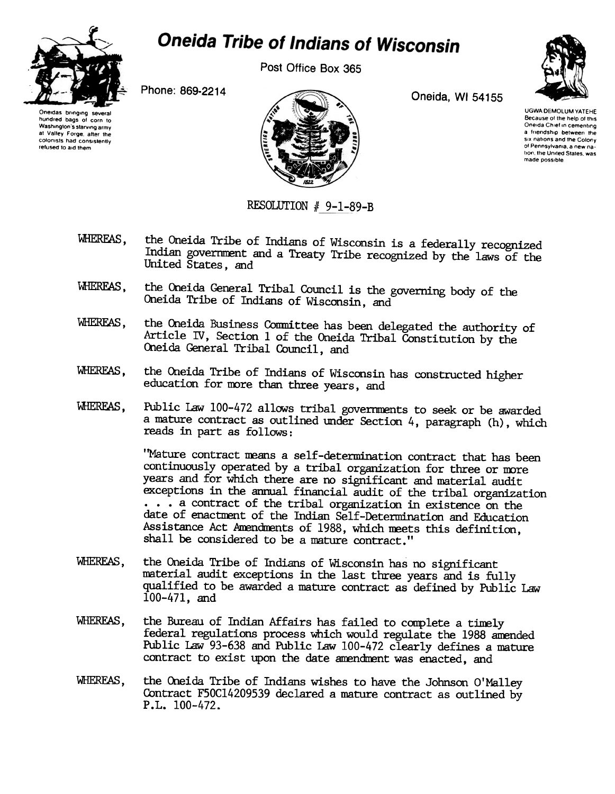

## **Oneida Tribe of Indians of Wisconsin**

Post Office Box 365







UGWA DEMOLUM YATEHE Because of the help of this Oneida Chief in cementing a friendship between the SIX nations and the Colony of Pennsylvama. a new nation, the United States, was made possible.

RESOLUTION  $# 9-1-89-B$ 

- WHERFAS, the Oneida Tribe of Indians of Wisconsin is a federally recognized Indian goverrnrent and a Treaty Tribe recognized by the laws of the United States, and
- WHEREAS, the Oneida General Tribal Council is the governing body of the Oneida Tribe of Indians of Wisconsin, and
- WHEREAS, the Oneida Business Committee has been delegated the authority of Article IV, Section 1 of the Oneida Tribal Constitution by the Oneida General Tribal Council, and
- WHERFAS, the Oneida Tribe of Indians of Wisconsin has constructed higher education for more than three years, and
- WlERFAS, PUblic Law 100-472 allows tribal governments to seek or be awarded a mature contract as outlined under Section 4, paragraph (h), which reads in part as follows:

'Mature contract means a self-determination contract that has been continuously operated by a tribal organization for three or more years and for which there are no significant and material audit exceptions in the annual financial audit of the tribal organization ...a contract of the tribal organization in existence on the date of enactnent of the Indian Self-Determination and Education Assistance Act Amendments of 1988, which meets this definition, shall be considered to be a mature contract."

- WHEREAS, the Oneida Tribe of Indians of Wisconsin has no significant material audit exceptions in the last three years and is fully qualified to be awarded a mature contract as defined by Public Law 100-471, and
- WHEREAS, the Bureau of Indian Affairs has failed to complete a tinely federal regulations process which would regulate the 1988 anended Public Law 93-638 and Public Law 100-472 clearly defines a mature contract to exist upon the date amendment was enacted, and
- WHEREAS, the Oneida Tribe of Indians wishes to have the Johnson O'Malley Contract F50C14209539 declared a mature contract as outlined by P.L.100-472.